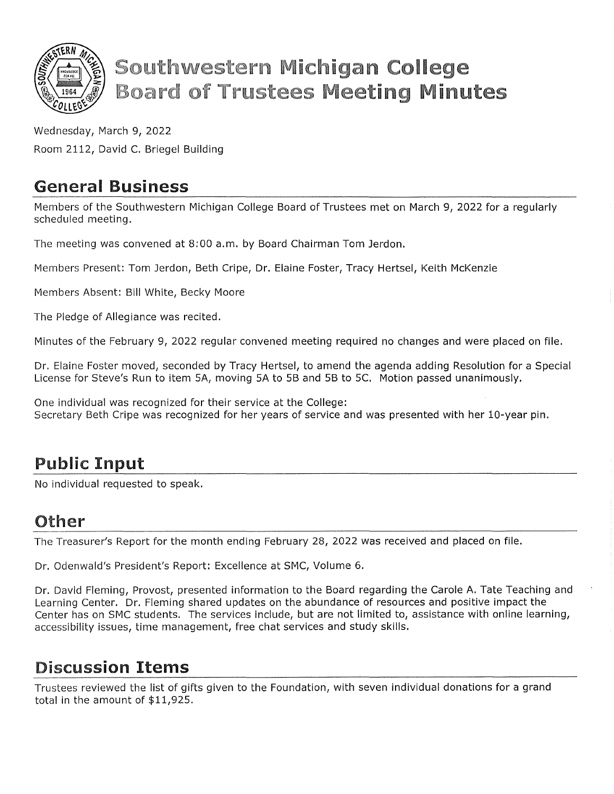

# **Southwestern Michigan College Board of Trustees Meeting Minutes**

Wednesday, March 9, 2022 Room 2112, David C. Briegel Building

### General Business

Members of the Southwestern Michigan College Board of Trustees met on March 9, 2022 for a regularly scheduled meeting.

The meeting was convened at 8:00 a.m. by Board Chairman Tom Jerdon.

Members Present: Tom Jerdon, Beth Cripe, Dr. Elaine Foster, Tracy Hertsel, Keith McKenzie

Members Absent: Bill White, Becky Moore

The Pledge of Allegiance was recited.

Minutes of the February 9, 2022 regular convened meeting required no changes and were placed on file.

Dr. Elaine Foster moved, seconded by Tracy Hertsel, to amend the agenda adding Resolution for a Special License for Steve's Run to item SA, moving SA to SB and SB to SC. Motion passed unanimously.

One individual was recognized for their service at the College: Secretary Beth Cripe was recognized for her years of service and was presented with her 10-year pin.

# Public Input

No individual requested to speak.

#### Other

The Treasurer's Report for the month ending February 28, 2022 was received and placed on file.

Dr. Odenwald's President's Report: Excellence at SMC, Volume 6.

Dr. David Fleming, Provost, presented information to the Board regarding the Carole A. Tate Teaching and Learning Center. Dr. Fleming shared updates on the abundance of resources and positive impact the Center has on SMC students. The services include, but are not limited to, assistance with online learning, accessibility issues, time management, free chat services and study skills.

# Discussion Items

Trustees reviewed the list of gifts given to the Foundation, with seven individual donations for a grand total in the amount of \$11,92S.